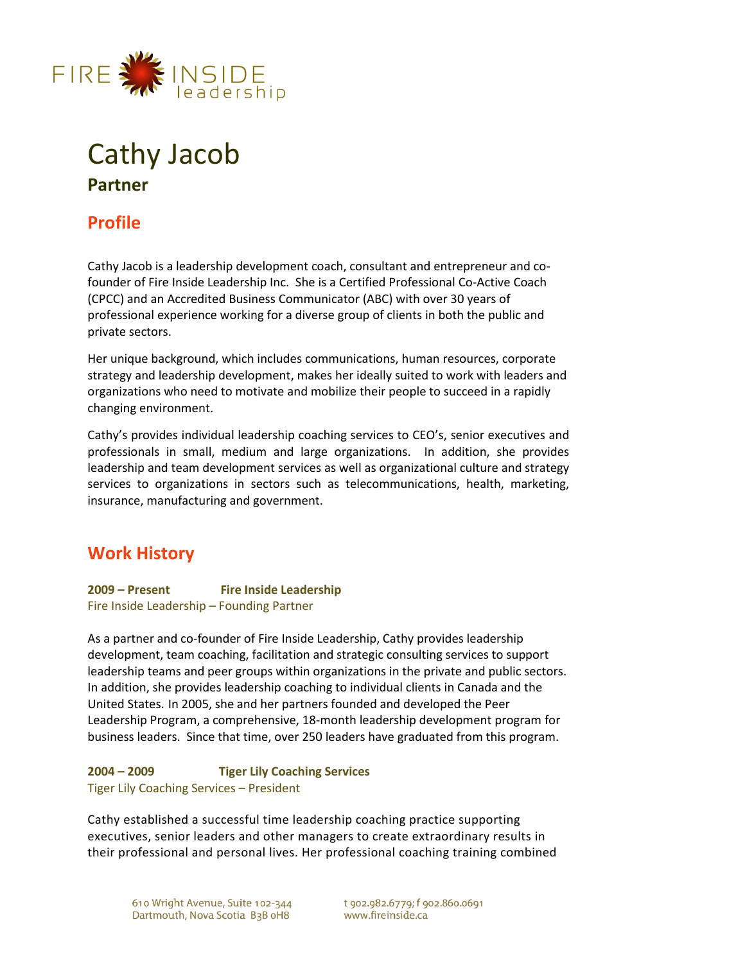

# Cathy Jacob **Partner**

# **Profile**

Cathy Jacob is a leadership development coach, consultant and entrepreneur and cofounder of Fire Inside Leadership Inc. She is a Certified Professional Co-Active Coach (CPCC) and an Accredited Business Communicator (ABC) with over 30 years of professional experience working for a diverse group of clients in both the public and private sectors.

Her unique background, which includes communications, human resources, corporate strategy and leadership development, makes her ideally suited to work with leaders and organizations who need to motivate and mobilize their people to succeed in a rapidly changing environment.

Cathy's provides individual leadership coaching services to CEO's, senior executives and professionals in small, medium and large organizations. In addition, she provides leadership and team development services as well as organizational culture and strategy services to organizations in sectors such as telecommunications, health, marketing, insurance, manufacturing and government.

# **Work History**

**2009 – Present Fire Inside Leadership**  Fire Inside Leadership – Founding Partner

As a partner and co-founder of Fire Inside Leadership, Cathy provides leadership development, team coaching, facilitation and strategic consulting services to support leadership teams and peer groups within organizations in the private and public sectors. In addition, she provides leadership coaching to individual clients in Canada and the United States. In 2005, she and her partners founded and developed the Peer Leadership Program, a comprehensive, 18-month leadership development program for business leaders. Since that time, over 250 leaders have graduated from this program.

**2004 – 2009 Tiger Lily Coaching Services**  Tiger Lily Coaching Services – President

Cathy established a successful time leadership coaching practice supporting executives, senior leaders and other managers to create extraordinary results in their professional and personal lives. Her professional coaching training combined

t 902.982.6779; f 902.860.0691 www.fireinside.ca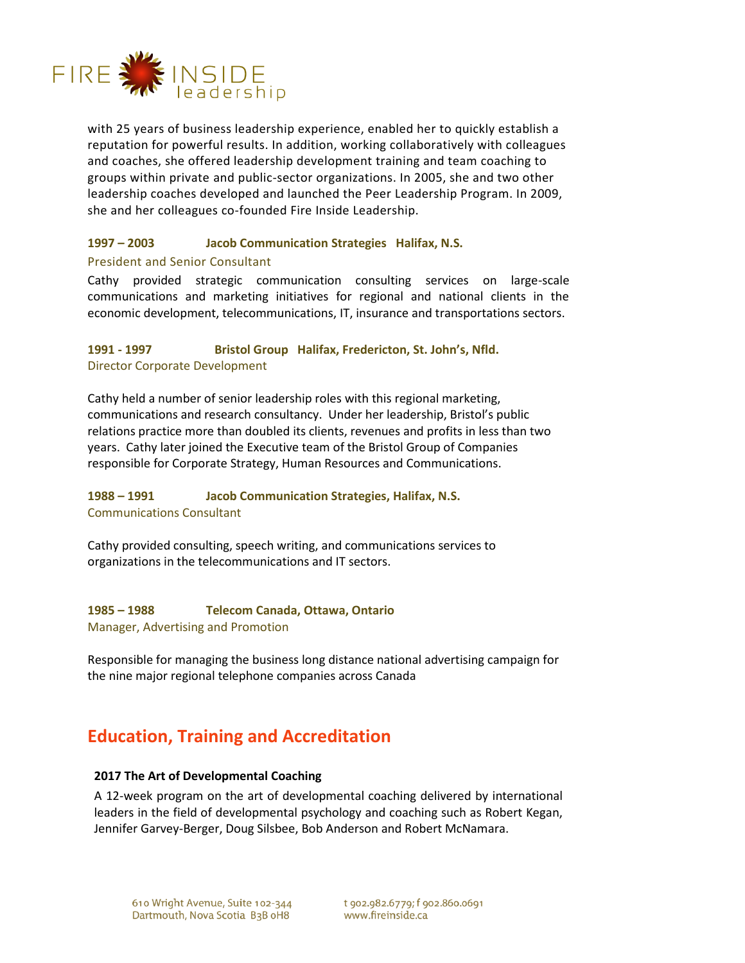

with 25 years of business leadership experience, enabled her to quickly establish a reputation for powerful results. In addition, working collaboratively with colleagues and coaches, she offered leadership development training and team coaching to groups within private and public-sector organizations. In 2005, she and two other leadership coaches developed and launched the Peer Leadership Program. In 2009, she and her colleagues co-founded Fire Inside Leadership.

#### **1997 – 2003 Jacob Communication Strategies Halifax, N.S.**

#### President and Senior Consultant

Cathy provided strategic communication consulting services on large-scale communications and marketing initiatives for regional and national clients in the economic development, telecommunications, IT, insurance and transportations sectors.

# **1991 - 1997 Bristol Group Halifax, Fredericton, St. John's, Nfld.**  Director Corporate Development

Cathy held a number of senior leadership roles with this regional marketing, communications and research consultancy. Under her leadership, Bristol's public relations practice more than doubled its clients, revenues and profits in less than two years. Cathy later joined the Executive team of the Bristol Group of Companies responsible for Corporate Strategy, Human Resources and Communications.

# **1988 – 1991 Jacob Communication Strategies, Halifax, N.S.**  Communications Consultant

Cathy provided consulting, speech writing, and communications services to organizations in the telecommunications and IT sectors.

# **1985 – 1988 Telecom Canada, Ottawa, Ontario**

Manager, Advertising and Promotion

Responsible for managing the business long distance national advertising campaign for the nine major regional telephone companies across Canada

# **Education, Training and Accreditation**

# **2017 The Art of Developmental Coaching**

A 12-week program on the art of developmental coaching delivered by international leaders in the field of developmental psychology and coaching such as Robert Kegan, Jennifer Garvey-Berger, Doug Silsbee, Bob Anderson and Robert McNamara.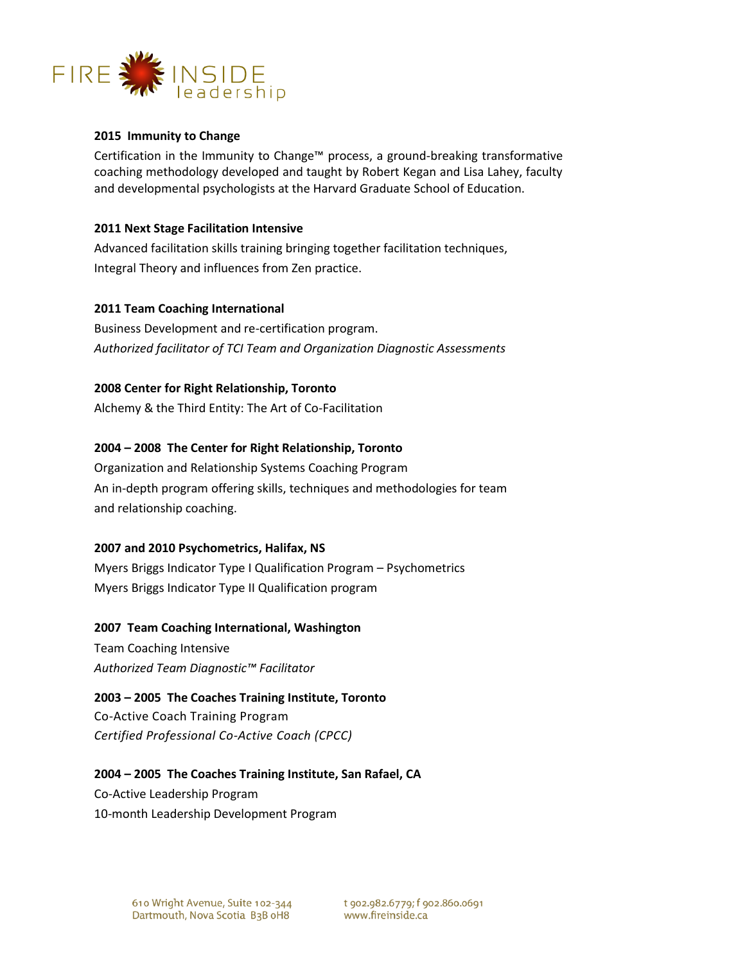

# **2015 Immunity to Change**

Certification in the Immunity to Change™ process, a ground-breaking transformative coaching methodology developed and taught by Robert Kegan and Lisa Lahey, faculty and developmental psychologists at the Harvard Graduate School of Education.

#### **2011 Next Stage Facilitation Intensive**

Advanced facilitation skills training bringing together facilitation techniques, Integral Theory and influences from Zen practice.

#### **2011 Team Coaching International**

Business Development and re-certification program. *Authorized facilitator of TCI Team and Organization Diagnostic Assessments* 

# **2008 Center for Right Relationship, Toronto**

Alchemy & the Third Entity: The Art of Co-Facilitation

# **2004 – 2008 The Center for Right Relationship, Toronto**

Organization and Relationship Systems Coaching Program An in-depth program offering skills, techniques and methodologies for team and relationship coaching.

#### **2007 and 2010 Psychometrics, Halifax, NS**

Myers Briggs Indicator Type I Qualification Program – Psychometrics Myers Briggs Indicator Type II Qualification program

#### **2007 Team Coaching International, Washington**

Team Coaching Intensive *Authorized Team Diagnostic™ Facilitator*

# **2003 – 2005 The Coaches Training Institute, Toronto**

Co-Active Coach Training Program *Certified Professional Co-Active Coach (CPCC)* 

# **2004 – 2005 The Coaches Training Institute, San Rafael, CA**

Co-Active Leadership Program 10-month Leadership Development Program